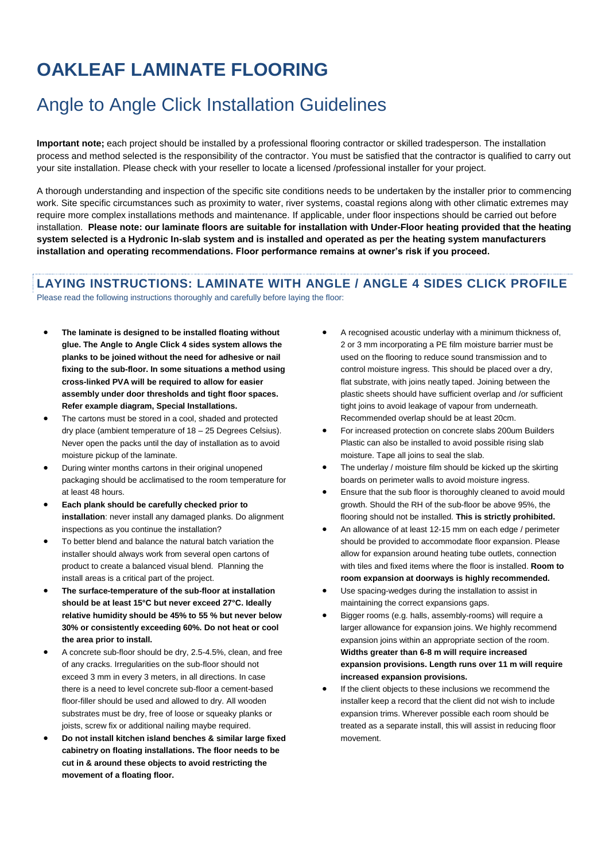### Angle to Angle Click Installation Guidelines

**Important note;** each project should be installed by a professional flooring contractor or skilled tradesperson. The installation process and method selected is the responsibility of the contractor. You must be satisfied that the contractor is qualified to carry out your site installation. Please check with your reseller to locate a licensed /professional installer for your project.

A thorough understanding and inspection of the specific site conditions needs to be undertaken by the installer prior to commencing work. Site specific circumstances such as proximity to water, river systems, coastal regions along with other climatic extremes may require more complex installations methods and maintenance. If applicable, under floor inspections should be carried out before installation. **Please note: our laminate floors are suitable for installation with Under-Floor heating provided that the heating system selected is a Hydronic In-slab system and is installed and operated as per the heating system manufacturers installation and operating recommendations. Floor performance remains at owner's risk if you proceed.**

#### **LAYING INSTRUCTIONS: LAMINATE WITH ANGLE / ANGLE 4 SIDES CLICK PROFILE**

Please read the following instructions thoroughly and carefully before laying the floor:

- **The laminate is designed to be installed floating without glue. The Angle to Angle Click 4 sides system allows the planks to be joined without the need for adhesive or nail fixing to the sub-floor. In some situations a method using cross-linked PVA will be required to allow for easier assembly under door thresholds and tight floor spaces. Refer example diagram, Special Installations.**
- The cartons must be stored in a cool, shaded and protected dry place (ambient temperature of 18 – 25 Degrees Celsius). Never open the packs until the day of installation as to avoid moisture pickup of the laminate.
- During winter months cartons in their original unopened packaging should be acclimatised to the room temperature for at least 48 hours.
- **Each plank should be carefully checked prior to installation**: never install any damaged planks. Do alignment inspections as you continue the installation?
- To better blend and balance the natural batch variation the installer should always work from several open cartons of product to create a balanced visual blend. Planning the install areas is a critical part of the project.
- **The surface-temperature of the sub-floor at installation should be at least 15°C but never exceed 27°C. Ideally relative humidity should be 45% to 55 % but never below 30% or consistently exceeding 60%. Do not heat or cool the area prior to install.**
- A concrete sub-floor should be dry, 2.5-4.5%, clean, and free of any cracks. Irregularities on the sub-floor should not exceed 3 mm in every 3 meters, in all directions. In case there is a need to level concrete sub-floor a cement-based floor-filler should be used and allowed to dry. All wooden substrates must be dry, free of loose or squeaky planks or joists, screw fix or additional nailing maybe required.
- **Do not install kitchen island benches & similar large fixed cabinetry on floating installations. The floor needs to be cut in & around these objects to avoid restricting the movement of a floating floor.**
- A recognised acoustic underlay with a minimum thickness of, 2 or 3 mm incorporating a PE film moisture barrier must be used on the flooring to reduce sound transmission and to control moisture ingress. This should be placed over a dry, flat substrate, with joins neatly taped. Joining between the plastic sheets should have sufficient overlap and /or sufficient tight joins to avoid leakage of vapour from underneath. Recommended overlap should be at least 20cm.
- For increased protection on concrete slabs 200um Builders Plastic can also be installed to avoid possible rising slab moisture. Tape all joins to seal the slab.
- The underlay / moisture film should be kicked up the skirting boards on perimeter walls to avoid moisture ingress.
- Ensure that the sub floor is thoroughly cleaned to avoid mould growth. Should the RH of the sub-floor be above 95%, the flooring should not be installed. **This is strictly prohibited.**
- An allowance of at least 12-15 mm on each edge / perimeter should be provided to accommodate floor expansion. Please allow for expansion around heating tube outlets, connection with tiles and fixed items where the floor is installed. **Room to room expansion at doorways is highly recommended.**
- Use spacing-wedges during the installation to assist in maintaining the correct expansions gaps.
- Bigger rooms (e.g. halls, assembly-rooms) will require a larger allowance for expansion joins. We highly recommend expansion joins within an appropriate section of the room. **Widths greater than 6-8 m will require increased expansion provisions. Length runs over 11 m will require increased expansion provisions.**
- If the client objects to these inclusions we recommend the installer keep a record that the client did not wish to include expansion trims. Wherever possible each room should be treated as a separate install, this will assist in reducing floor movement.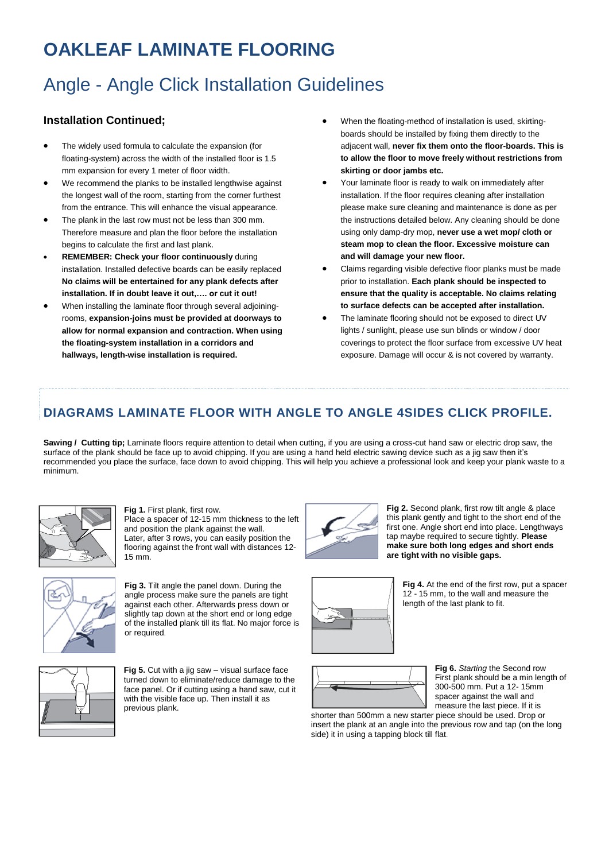# Angle - Angle Click Installation Guidelines

#### **Installation Continued;**

- The widely used formula to calculate the expansion (for floating-system) across the width of the installed floor is 1.5 mm expansion for every 1 meter of floor width.
- We recommend the planks to be installed lengthwise against the longest wall of the room, starting from the corner furthest from the entrance. This will enhance the visual appearance.
- The plank in the last row must not be less than 300 mm. Therefore measure and plan the floor before the installation begins to calculate the first and last plank.
- **REMEMBER: Check your floor continuously** during installation. Installed defective boards can be easily replaced **No claims will be entertained for any plank defects after installation. If in doubt leave it out,…. or cut it out!**
- When installing the laminate floor through several adjoiningrooms, **expansion-joins must be provided at doorways to allow for normal expansion and contraction. When using the floating-system installation in a corridors and hallways, length-wise installation is required.**
- When the floating-method of installation is used, skirtingboards should be installed by fixing them directly to the adjacent wall, **never fix them onto the floor-boards. This is to allow the floor to move freely without restrictions from skirting or door jambs etc.**
- Your laminate floor is ready to walk on immediately after installation. If the floor requires cleaning after installation please make sure cleaning and maintenance is done as per the instructions detailed below. Any cleaning should be done using only damp-dry mop, **never use a wet mop/ cloth or steam mop to clean the floor. Excessive moisture can and will damage your new floor.**
- Claims regarding visible defective floor planks must be made prior to installation. **Each plank should be inspected to ensure that the quality is acceptable. No claims relating to surface defects can be accepted after installation.**
- The laminate flooring should not be exposed to direct UV lights / sunlight, please use sun blinds or window / door coverings to protect the floor surface from excessive UV heat exposure. Damage will occur & is not covered by warranty.

### **DIAGRAMS LAMINATE FLOOR WITH ANGLE TO ANGLE 4SIDES CLICK PROFILE.**

Sawing / Cutting tip; Laminate floors require attention to detail when cutting, if you are using a cross-cut hand saw or electric drop saw, the surface of the plank should be face up to avoid chipping. If you are using a hand held electric sawing device such as a jig saw then it's recommended you place the surface, face down to avoid chipping. This will help you achieve a professional look and keep your plank waste to a minimum.



**Fig 1.** First plank, first row. Place a spacer of 12-15 mm thickness to the left and position the plank against the wall. Later, after 3 rows, you can easily position the flooring against the front wall with distances 12- 15 mm.



**Fig 3.** Tilt angle the panel down. During the angle process make sure the panels are tight against each other. Afterwards press down or slightly tap down at the short end or long edge of the installed plank till its flat. No major force is or required.



**Fig 5.** Cut with a jig saw – visual surface face turned down to eliminate/reduce damage to the face panel. Or if cutting using a hand saw, cut it with the visible face up. Then install it as previous plank.



**Fig 2.** Second plank, first row tilt angle & place this plank gently and tight to the short end of the first one. Angle short end into place. Lengthways tap maybe required to secure tightly. **Please make sure both long edges and short ends are tight with no visible gaps.**



**Fig 4.** At the end of the first row, put a spacer 12 - 15 mm, to the wall and measure the length of the last plank to fit.



**Fig 6.** *Starting* the Second row First plank should be a min length of 300-500 mm. Put a 12- 15mm spacer against the wall and measure the last piece. If it is

shorter than 500mm a new starter piece should be used. Drop or insert the plank at an angle into the previous row and tap (on the long side) it in using a tapping block till flat.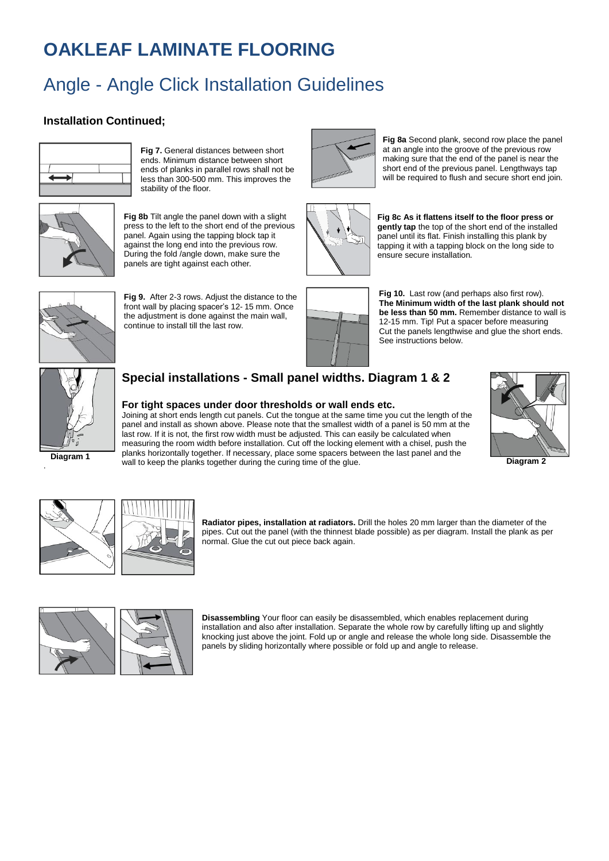# Angle - Angle Click Installation Guidelines

#### **Installation Continued;**



**Fig 7.** General distances between short ends. Minimum distance between short ends of planks in parallel rows shall not be less than 300-500 mm. This improves the stability of the floor*.*



**Fig 8b** Tilt angle the panel down with a slight press to the left to the short end of the previous panel. Again using the tapping block tap it against the long end into the previous row. During the fold /angle down, make sure the panels are tight against each other*.*



**Fig 9.** After 2-3 rows. Adjust the distance to the front wall by placing spacer's 12- 15 mm. Once the adjustment is done against the main wall, continue to install till the last row.



**Fig 8a** Second plank, second row place the panel at an angle into the groove of the previous row making sure that the end of the panel is near the short end of the previous panel. Lengthways tap will be required to flush and secure short end join.



**Fig 8c As it flattens itself to the floor press or gently tap** the top of the short end of the installed panel until its flat. Finish installing this plank by tapping it with a tapping block on the long side to ensure secure installation*.*



**Fig 10.** Last row (and perhaps also first row). **The Minimum width of the last plank should not be less than 50 mm.** Remember distance to wall is 12-15 mm. Tip! Put a spacer before measuring Cut the panels lengthwise and glue the short ends. See instructions below.



### **Special installations - Small panel widths. Diagram 1 & 2**

#### **For tight spaces under door thresholds or wall ends etc.**

Joining at short ends length cut panels. Cut the tongue at the same time you cut the length of the panel and install as shown above. Please note that the smallest width of a panel is 50 mm at the last row. If it is not, the first row width must be adjusted. This can easily be calculated when measuring the room width before installation. Cut off the locking element with a chisel, push the planks horizontally together. If necessary, place some spacers between the last panel and the wall to keep the planks together during the curing time of the glue.



 **Diagram 2**





**Radiator pipes, installation at radiators.** Drill the holes 20 mm larger than the diameter of the pipes. Cut out the panel (with the thinnest blade possible) as per diagram. Install the plank as per normal. Glue the cut out piece back again.



**Disassembling** Your floor can easily be disassembled, which enables replacement during installation and also after installation. Separate the whole row by carefully lifting up and slightly knocking just above the joint. Fold up or angle and release the whole long side. Disassemble the panels by sliding horizontally where possible or fold up and angle to release.